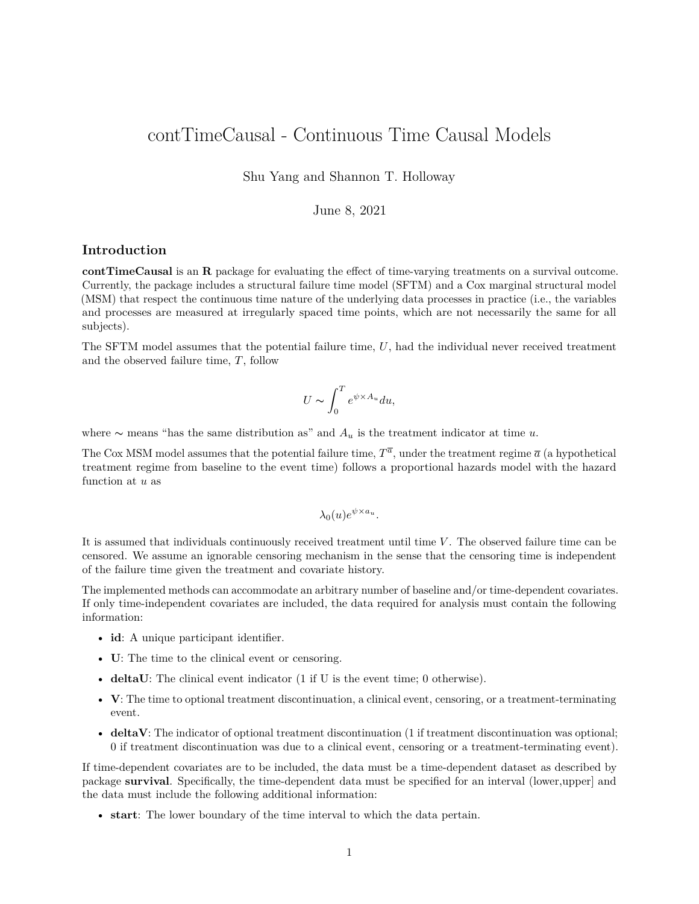# contTimeCausal - Continuous Time Causal Models

Shu Yang and Shannon T. Holloway

## June 8, 2021

#### **Introduction**

**contTimeCausal** is an **R** package for evaluating the effect of time-varying treatments on a survival outcome. Currently, the package includes a structural failure time model (SFTM) and a Cox marginal structural model (MSM) that respect the continuous time nature of the underlying data processes in practice (i.e., the variables and processes are measured at irregularly spaced time points, which are not necessarily the same for all subjects).

The SFTM model assumes that the potential failure time, *U*, had the individual never received treatment and the observed failure time, *T*, follow

$$
U \sim \int_0^T e^{\psi \times A_u} du,
$$

where ∼ means "has the same distribution as" and *A<sup>u</sup>* is the treatment indicator at time *u*.

The Cox MSM model assumes that the potential failure time,  $T^{\overline{a}}$ , under the treatment regime  $\overline{a}$  (a hypothetical treatment regime from baseline to the event time) follows a proportional hazards model with the hazard function at *u* as

$$
\lambda_0(u)e^{\psi \times a_u}.
$$

It is assumed that individuals continuously received treatment until time *V*. The observed failure time can be censored. We assume an ignorable censoring mechanism in the sense that the censoring time is independent of the failure time given the treatment and covariate history.

The implemented methods can accommodate an arbitrary number of baseline and/or time-dependent covariates. If only time-independent covariates are included, the data required for analysis must contain the following information:

- **id**: A unique participant identifier.
- **U**: The time to the clinical event or censoring.
- **deltaU**: The clinical event indicator (1 if U is the event time; 0 otherwise).
- **V**: The time to optional treatment discontinuation, a clinical event, censoring, or a treatment-terminating event.
- **deltaV**: The indicator of optional treatment discontinuation (1 if treatment discontinuation was optional; 0 if treatment discontinuation was due to a clinical event, censoring or a treatment-terminating event).

If time-dependent covariates are to be included, the data must be a time-dependent dataset as described by package **survival**. Specifically, the time-dependent data must be specified for an interval (lower,upper] and the data must include the following additional information:

• **start**: The lower boundary of the time interval to which the data pertain.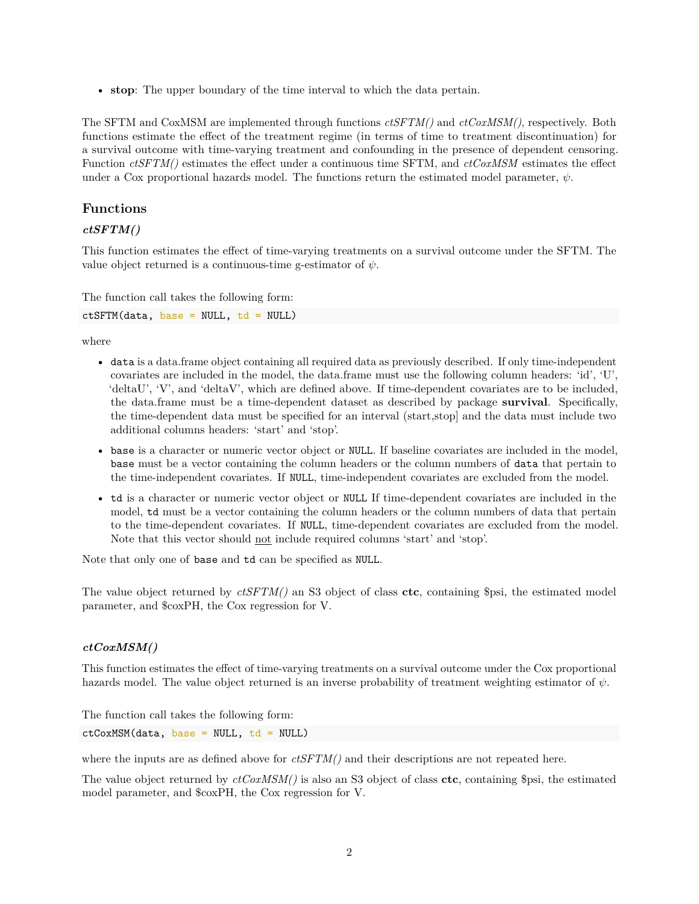• **stop**: The upper boundary of the time interval to which the data pertain.

The SFTM and CoxMSM are implemented through functions *ctSFTM()* and *ctCoxMSM()*, respectively. Both functions estimate the effect of the treatment regime (in terms of time to treatment discontinuation) for a survival outcome with time-varying treatment and confounding in the presence of dependent censoring. Function *ctSFTM()* estimates the effect under a continuous time SFTM, and *ctCoxMSM* estimates the effect under a Cox proportional hazards model. The functions return the estimated model parameter,  $\psi$ .

# **Functions**

#### *ctSFTM()*

This function estimates the effect of time-varying treatments on a survival outcome under the SFTM. The value object returned is a continuous-time g-estimator of  $\psi$ .

The function call takes the following form:

 $ctSFTM(data, base = NULL, td = NULL)$ 

where

- data is a data.frame object containing all required data as previously described. If only time-independent covariates are included in the model, the data.frame must use the following column headers: 'id', 'U', 'deltaU', 'V', and 'deltaV', which are defined above. If time-dependent covariates are to be included, the data.frame must be a time-dependent dataset as described by package **survival**. Specifically, the time-dependent data must be specified for an interval (start,stop] and the data must include two additional columns headers: 'start' and 'stop'.
- base is a character or numeric vector object or NULL. If baseline covariates are included in the model, base must be a vector containing the column headers or the column numbers of data that pertain to the time-independent covariates. If NULL, time-independent covariates are excluded from the model.
- td is a character or numeric vector object or NULL If time-dependent covariates are included in the model, td must be a vector containing the column headers or the column numbers of data that pertain to the time-dependent covariates. If NULL, time-dependent covariates are excluded from the model. Note that this vector should not include required columns 'start' and 'stop'.

Note that only one of base and td can be specified as NULL.

The value object returned by *ctSFTM()* an S3 object of class **ctc**, containing \$psi, the estimated model parameter, and \$coxPH, the Cox regression for V.

#### *ctCoxMSM()*

This function estimates the effect of time-varying treatments on a survival outcome under the Cox proportional hazards model. The value object returned is an inverse probability of treatment weighting estimator of *ψ*.

The function call takes the following form:

 $ctCoxMSM(data, base = NULL, td = NULL)$ 

where the inputs are as defined above for *ctSFTM()* and their descriptions are not repeated here.

The value object returned by *ctCoxMSM()* is also an S3 object of class **ctc**, containing \$psi, the estimated model parameter, and \$coxPH, the Cox regression for V.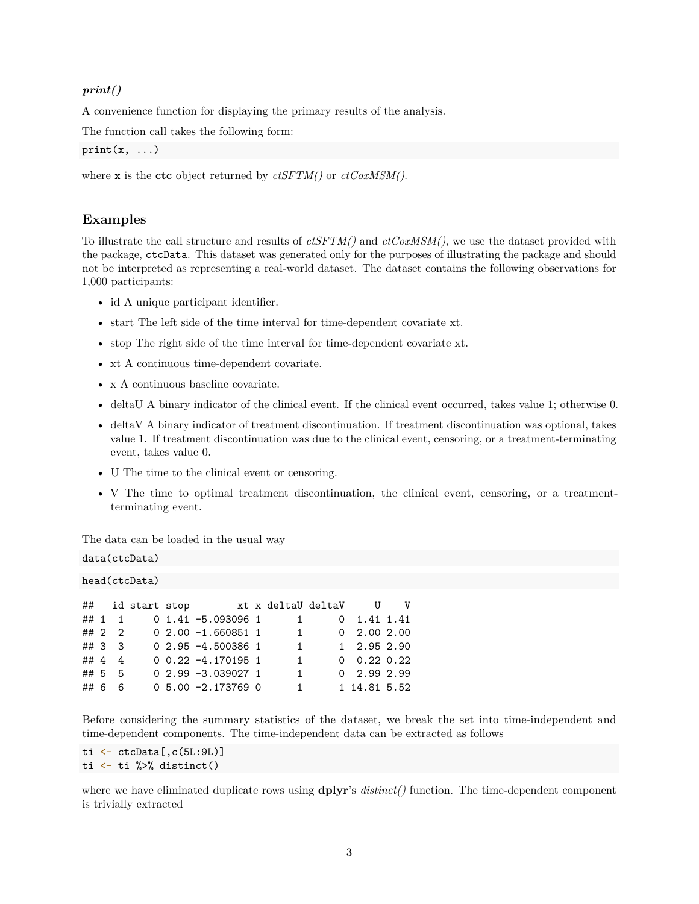#### *print()*

A convenience function for displaying the primary results of the analysis.

The function call takes the following form:

```
print(x, \ldots)
```
where x is the **ctc** object returned by *ctSFTM()* or *ctCoxMSM()*.

## **Examples**

To illustrate the call structure and results of *ctSFTM()* and *ctCoxMSM()*, we use the dataset provided with the package, ctcData. This dataset was generated only for the purposes of illustrating the package and should not be interpreted as representing a real-world dataset. The dataset contains the following observations for 1,000 participants:

- id A unique participant identifier.
- start The left side of the time interval for time-dependent covariate xt.
- stop The right side of the time interval for time-dependent covariate xt.
- xt A continuous time-dependent covariate.
- x A continuous baseline covariate.
- deltaU A binary indicator of the clinical event. If the clinical event occurred, takes value 1; otherwise 0.
- deltaV A binary indicator of treatment discontinuation. If treatment discontinuation was optional, takes value 1. If treatment discontinuation was due to the clinical event, censoring, or a treatment-terminating event, takes value 0.
- U The time to the clinical event or censoring.
- V The time to optimal treatment discontinuation, the clinical event, censoring, or a treatmentterminating event.

The data can be loaded in the usual way

# data(ctcData)

|        |        | ## id start stop |                       | xt x deltaU deltaV |                           | U V |
|--------|--------|------------------|-----------------------|--------------------|---------------------------|-----|
|        | ## 1 1 |                  | $0$ 1.41 -5.093096 1  | 1                  | $0 \quad 1.41 \quad 1.41$ |     |
|        | ## 2 2 |                  | $02.00 -1.6608511$    | $\overline{1}$     | $0$ 2.00 2.00             |     |
| ## 3 3 |        |                  | $0, 2.95 -4.500386$ 1 | $\overline{1}$     | 1 2.95 2.90               |     |
| ## 4 4 |        |                  | $0$ 0.22 -4.170195 1  | 1.                 | $0$ 0.22 0.22             |     |
| ## 5 5 |        |                  | $0, 2.99 -3.0390271$  | $\mathbf{1}$       | $0$ 2.99 2.99             |     |
| ## 6 6 |        |                  | $0, 5.00 -2.1737690$  | 1                  | 1 14.81 5.52              |     |

Before considering the summary statistics of the dataset, we break the set into time-independent and time-dependent components. The time-independent data can be extracted as follows

ti <- ctcData[,c(5L:9L)] ti <- ti %>% distinct()

where we have eliminated duplicate rows using **dplyr**'s *distinct()* function. The time-dependent component is trivially extracted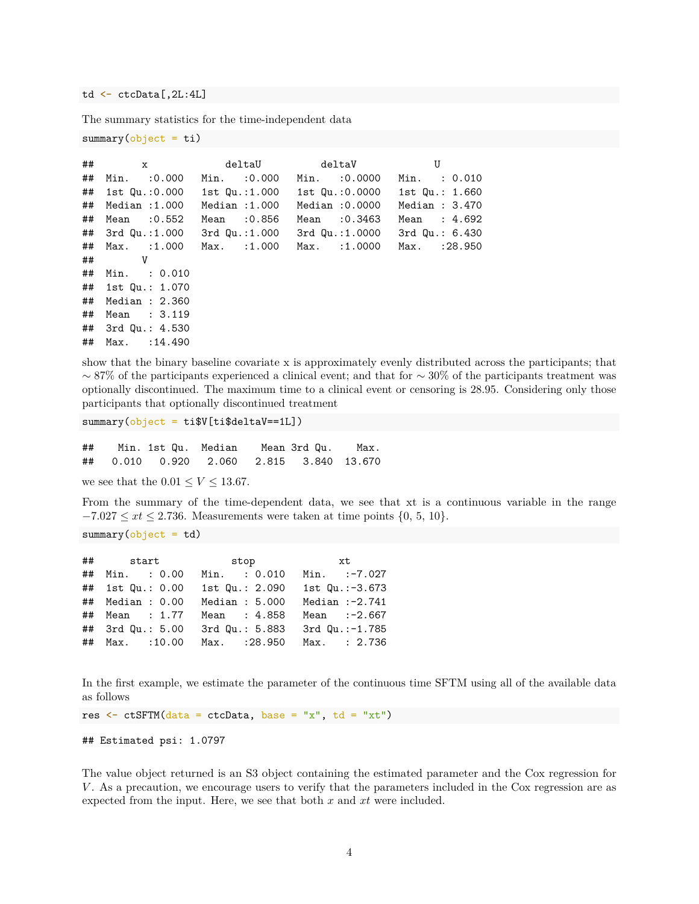td <- ctcData[,2L:4L]

The summary statistics for the time-independent data

```
summary(object = ti)
```

| ## | $\mathbf{x}$               |                                               | deltaU deltaV                                                      | U                  |
|----|----------------------------|-----------------------------------------------|--------------------------------------------------------------------|--------------------|
| ## | Min. :0.000                | Min. : 0.000 Min. : 0.0000                    |                                                                    | Min. : 0.010       |
|    |                            |                                               | ## 1st Qu.:0.000   1st Qu.:1.000   1st Qu.:0.0000   1st Qu.: 1.660 |                    |
| ## | Median :1.000              | Median :1.000                                 | Median :0.0000                                                     | Median: $3.470$    |
| ## | Mean :0.552                | Mean :0.856                                   | Mean :0.3463                                                       | Mean : 4.692       |
|    |                            | ## 3rd Qu.:1.000 3rd Qu.:1.000 3rd Qu.:1.0000 |                                                                    | $3rd$ Qu.: $6.430$ |
|    | ## Max. :1.000 Max. :1.000 |                                               | Max. :1.0000                                                       | Max. : 28.950      |
|    | V<br>$\#$ #                |                                               |                                                                    |                    |
|    | ## Min. : 0.010            |                                               |                                                                    |                    |
|    | ## 1st Qu.: 1.070          |                                               |                                                                    |                    |
|    | ## Median : 2.360          |                                               |                                                                    |                    |
| ## | Mean : 3.119               |                                               |                                                                    |                    |
|    | ## 3rd Qu.: 4.530          |                                               |                                                                    |                    |
|    | ## Max. : 14.490           |                                               |                                                                    |                    |

show that the binary baseline covariate x is approximately evenly distributed across the participants; that  $~\sim$  87% of the participants experienced a clinical event; and that for  $~\sim$  30% of the participants treatment was optionally discontinued. The maximum time to a clinical event or censoring is 28.95. Considering only those participants that optionally discontinued treatment

 $summary(object = ti$V[ti$deltaV==1L])$ 

## Min. 1st Qu. Median Mean 3rd Qu. Max. ## 0.010 0.920 2.060 2.815 3.840 13.670

we see that the  $0.01 \le V \le 13.67$ .

From the summary of the time-dependent data, we see that xt is a continuous variable in the range  $-7.027 \leq xt \leq 2.736$ . Measurements were taken at time points  $\{0, 5, 10\}$ .

 $summary(object = td)$ 

|                  |                  |                | ## start stop xt           |                  |
|------------------|------------------|----------------|----------------------------|------------------|
|                  | ## Min. : 0.00   | Min. : 0.010   |                            | Min. :-7.027     |
| ## 1st Qu.: 0.00 |                  | 1st Qu.: 2.090 |                            | 1st $Qu.:-3.673$ |
|                  | ## Median : 0.00 | Median : 5.000 |                            | Median :-2.741   |
| ## Mean : 1.77   |                  | Mean : 4.858   |                            | Mean $:-2.667$   |
| ## 3rd Qu.: 5.00 |                  | 3rd Qu.: 5.883 |                            | 3rd Qu.:-1.785   |
| ## Max. : 10.00  |                  |                | Max. : 28.950 Max. : 2.736 |                  |

In the first example, we estimate the parameter of the continuous time SFTM using all of the available data as follows

res  $\leq$  ctSFTM(data = ctcData, base = "x", td = "xt")

## Estimated psi: 1.0797

The value object returned is an S3 object containing the estimated parameter and the Cox regression for *V* . As a precaution, we encourage users to verify that the parameters included in the Cox regression are as expected from the input. Here, we see that both *x* and *xt* were included.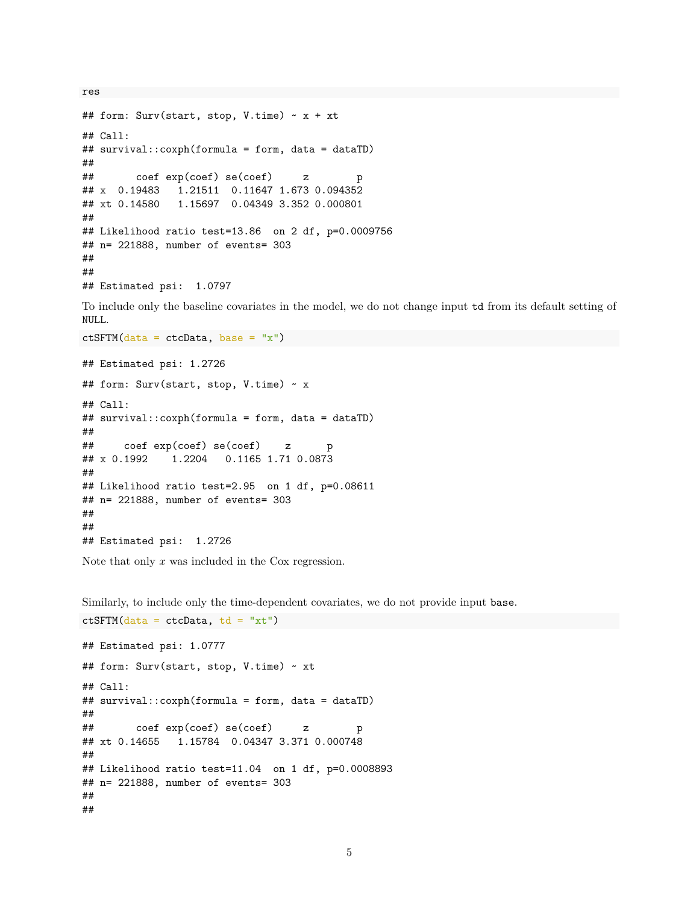```
## form: Surv(start, stop, V.time) ~ x + xt
## Call:
## survival::coxph(formula = form, data = dataTD)
##
## coef exp(coef) se(coef) z p
## x 0.19483 1.21511 0.11647 1.673 0.094352
## xt 0.14580 1.15697 0.04349 3.352 0.000801
##
## Likelihood ratio test=13.86 on 2 df, p=0.0009756
## n= 221888, number of events= 303
##
##
## Estimated psi: 1.0797
```
To include only the baseline covariates in the model, we do not change input td from its default setting of NULL.

```
ctSFTM(data = ctcData, base = "x")
```
res

```
## Estimated psi: 1.2726
## form: Surv(start, stop, V.time) ~ x
## Call:
## survival::coxph(formula = form, data = dataTD)
##
## coef exp(coef) se(coef) z p
## x 0.1992 1.2204 0.1165 1.71 0.0873
##
## Likelihood ratio test=2.95 on 1 df, p=0.08611
## n= 221888, number of events= 303
##
##
## Estimated psi: 1.2726
```
Note that only *x* was included in the Cox regression.

 $ctSFTM(data = ctcData, td = "xt")$ 

Similarly, to include only the time-dependent covariates, we do not provide input base.

```
## Estimated psi: 1.0777
## form: Surv(start, stop, V.time) ~ xt
## Call:
## survival::coxph(formula = form, data = dataTD)
##
## coef exp(coef) se(coef) z p
## xt 0.14655 1.15784 0.04347 3.371 0.000748
##
## Likelihood ratio test=11.04 on 1 df, p=0.0008893
## n= 221888, number of events= 303
##
##
```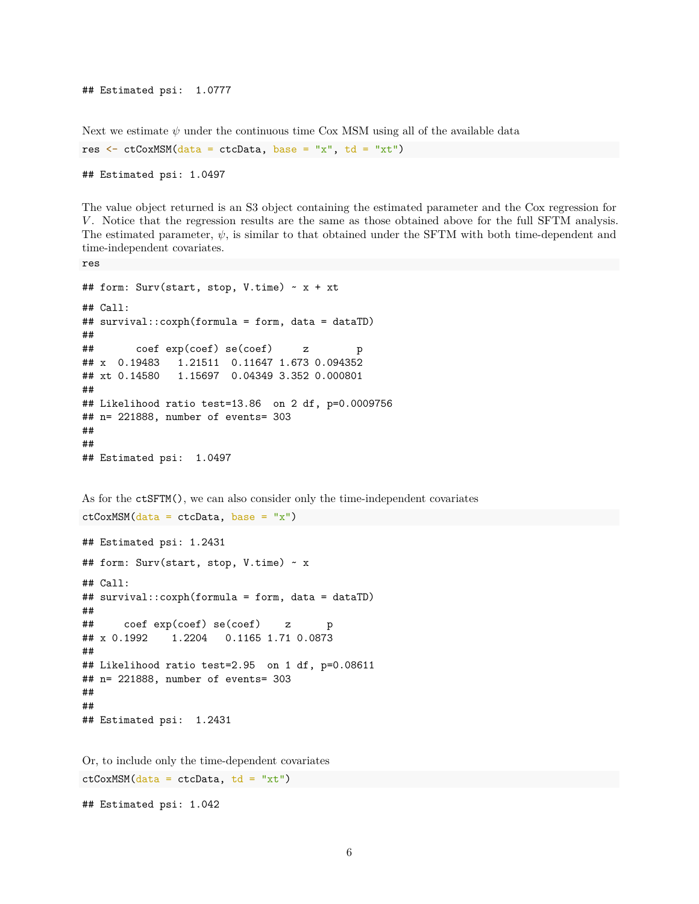```
## Estimated psi: 1.0777
```
Next we estimate  $\psi$  under the continuous time Cox MSM using all of the available data res  $\leq$  ctCoxMSM(data = ctcData, base = "x", td = "xt")

```
## Estimated psi: 1.0497
```
The value object returned is an S3 object containing the estimated parameter and the Cox regression for *V*. Notice that the regression results are the same as those obtained above for the full SFTM analysis. The estimated parameter,  $\psi$ , is similar to that obtained under the SFTM with both time-dependent and time-independent covariates.

```
res
```

```
## form: Surv(start, stop, V.time) ~ x + xt
## Call:
## survival::coxph(formula = form, data = dataTD)
##
## coef exp(coef) se(coef) z p
## x 0.19483 1.21511 0.11647 1.673 0.094352
## xt 0.14580 1.15697 0.04349 3.352 0.000801
##
## Likelihood ratio test=13.86 on 2 df, p=0.0009756
## n= 221888, number of events= 303
##
##
## Estimated psi: 1.0497
```
As for the ctSFTM(), we can also consider only the time-independent covariates

```
## Estimated psi: 1.2431
## form: Surv(start, stop, V.time) ~ x
## Call:
## survival::coxph(formula = form, data = dataTD)
##
## coef exp(coef) se(coef) z p
## x 0.1992 1.2204 0.1165 1.71 0.0873
##
## Likelihood ratio test=2.95 on 1 df, p=0.08611
## n= 221888, number of events= 303
##
##
## Estimated psi: 1.2431
```
 $ctCoxMSM(data = ctcData, base = "x")$ 

Or, to include only the time-dependent covariates  $ctCoxMSM(data = ctcData, td = "xt")$ 

## Estimated psi: 1.042